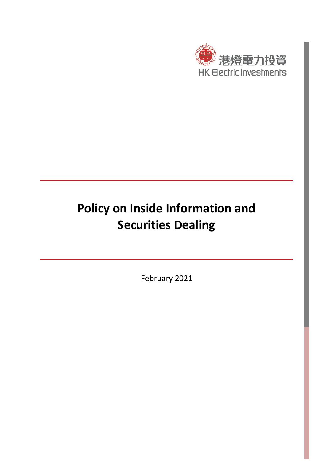

# **Policy on Inside Information and Securities Dealing**

February 2021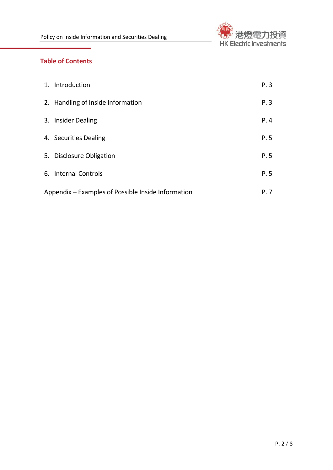

# **Table of Contents**

| 1. Introduction                                    | P.3  |
|----------------------------------------------------|------|
| 2. Handling of Inside Information                  | P.3  |
| 3. Insider Dealing                                 | P.4  |
| 4. Securities Dealing                              | P. 5 |
| 5. Disclosure Obligation                           | P. 5 |
| 6. Internal Controls                               | P. 5 |
| Appendix – Examples of Possible Inside Information | P. 7 |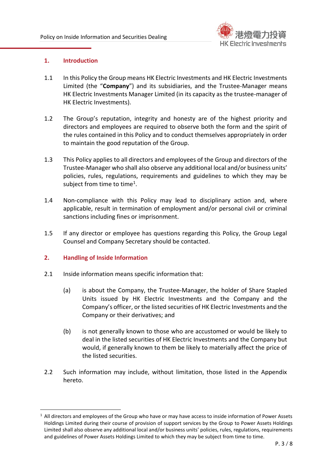

### **1. Introduction**

- 1.1 In this Policy the Group means HK Electric Investments and HK Electric Investments Limited (the "**Company**") and its subsidiaries, and the Trustee-Manager means HK Electric Investments Manager Limited (in its capacity as the trustee-manager of HK Electric Investments).
- 1.2 The Group's reputation, integrity and honesty are of the highest priority and directors and employees are required to observe both the form and the spirit of the rules contained in this Policy and to conduct themselves appropriately in order to maintain the good reputation of the Group.
- 1.3 This Policy applies to all directors and employees of the Group and directors of the Trustee-Manager who shall also observe any additional local and/or business units' policies, rules, regulations, requirements and guidelines to which they may be subject from time to time<sup>1</sup>.
- 1.4 Non-compliance with this Policy may lead to disciplinary action and, where applicable, result in termination of employment and/or personal civil or criminal sanctions including fines or imprisonment.
- 1.5 If any director or employee has questions regarding this Policy, the Group Legal Counsel and Company Secretary should be contacted.

### **2. Handling of Inside Information**

**.** 

- 2.1 Inside information means specific information that:
	- (a) is about the Company, the Trustee-Manager, the holder of Share Stapled Units issued by HK Electric Investments and the Company and the Company's officer, or the listed securities of HK Electric Investments and the Company or their derivatives; and
	- (b) is not generally known to those who are accustomed or would be likely to deal in the listed securities of HK Electric Investments and the Company but would, if generally known to them be likely to materially affect the price of the listed securities.
- 2.2 Such information may include, without limitation, those listed in the Appendix hereto.

<sup>&</sup>lt;sup>1</sup> All directors and employees of the Group who have or may have access to inside information of Power Assets Holdings Limited during their course of provision of support services by the Group to Power Assets Holdings Limited shall also observe any additional local and/or business units' policies, rules, regulations, requirements and guidelines of Power Assets Holdings Limited to which they may be subject from time to time.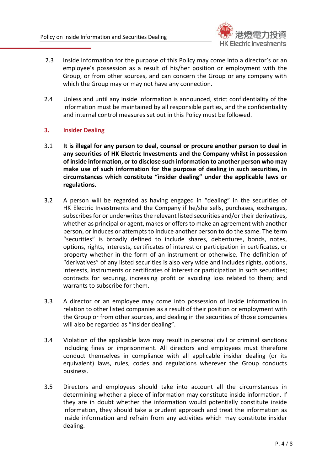

- 2.3 Inside information for the purpose of this Policy may come into a director's or an employee's possession as a result of his/her position or employment with the Group, or from other sources, and can concern the Group or any company with which the Group may or may not have any connection.
- 2.4 Unless and until any inside information is announced, strict confidentiality of the information must be maintained by all responsible parties, and the confidentiality and internal control measures set out in this Policy must be followed.

## **3. Insider Dealing**

- 3.1 **It is illegal for any person to deal, counsel or procure another person to deal in any securities of HK Electric Investments and the Company whilst in possession of inside information, or to disclose such information to another person who may make use of such information for the purpose of dealing in such securities, in circumstances which constitute "insider dealing" under the applicable laws or regulations.**
- 3.2 A person will be regarded as having engaged in "dealing" in the securities of HK Electric Investments and the Company if he/she sells, purchases, exchanges, subscribes for or underwrites the relevant listed securities and/or their derivatives, whether as principal or agent, makes or offers to make an agreement with another person, or induces or attempts to induce another person to do the same. The term "securities" is broadly defined to include shares, debentures, bonds, notes, options, rights, interests, certificates of interest or participation in certificates, or property whether in the form of an instrument or otherwise. The definition of "derivatives" of any listed securities is also very wide and includes rights, options, interests, instruments or certificates of interest or participation in such securities; contracts for securing, increasing profit or avoiding loss related to them; and warrants to subscribe for them.
- 3.3 A director or an employee may come into possession of inside information in relation to other listed companies as a result of their position or employment with the Group or from other sources, and dealing in the securities of those companies will also be regarded as "insider dealing".
- 3.4 Violation of the applicable laws may result in personal civil or criminal sanctions including fines or imprisonment. All directors and employees must therefore conduct themselves in compliance with all applicable insider dealing (or its equivalent) laws, rules, codes and regulations wherever the Group conducts business.
- 3.5 Directors and employees should take into account all the circumstances in determining whether a piece of information may constitute inside information. If they are in doubt whether the information would potentially constitute inside information, they should take a prudent approach and treat the information as inside information and refrain from any activities which may constitute insider dealing.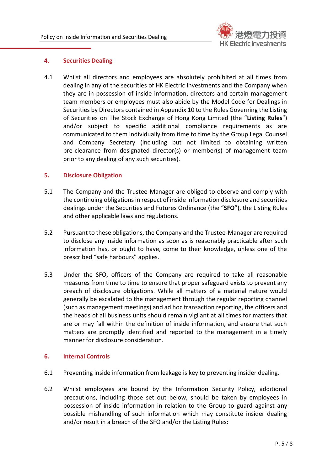

### **4. Securities Dealing**

4.1 Whilst all directors and employees are absolutely prohibited at all times from dealing in any of the securities of HK Electric Investments and the Company when they are in possession of inside information, directors and certain management team members or employees must also abide by the Model Code for Dealings in Securities by Directors contained in Appendix 10 to the Rules Governing the Listing of Securities on The Stock Exchange of Hong Kong Limited (the "**Listing Rules**") and/or subject to specific additional compliance requirements as are communicated to them individually from time to time by the Group Legal Counsel and Company Secretary (including but not limited to obtaining written pre-clearance from designated director(s) or member(s) of management team prior to any dealing of any such securities).

### **5. Disclosure Obligation**

- 5.1 The Company and the Trustee-Manager are obliged to observe and comply with the continuing obligations in respect of inside information disclosure and securities dealings under the Securities and Futures Ordinance (the "**SFO**"), the Listing Rules and other applicable laws and regulations.
- 5.2 Pursuant to these obligations, the Company and the Trustee-Manager are required to disclose any inside information as soon as is reasonably practicable after such information has, or ought to have, come to their knowledge, unless one of the prescribed "safe harbours" applies.
- 5.3 Under the SFO, officers of the Company are required to take all reasonable measures from time to time to ensure that proper safeguard exists to prevent any breach of disclosure obligations. While all matters of a material nature would generally be escalated to the management through the regular reporting channel (such as management meetings) and ad hoc transaction reporting, the officers and the heads of all business units should remain vigilant at all times for matters that are or may fall within the definition of inside information, and ensure that such matters are promptly identified and reported to the management in a timely manner for disclosure consideration.

### **6. Internal Controls**

- 6.1 Preventing inside information from leakage is key to preventing insider dealing.
- 6.2 Whilst employees are bound by the Information Security Policy, additional precautions, including those set out below, should be taken by employees in possession of inside information in relation to the Group to guard against any possible mishandling of such information which may constitute insider dealing and/or result in a breach of the SFO and/or the Listing Rules: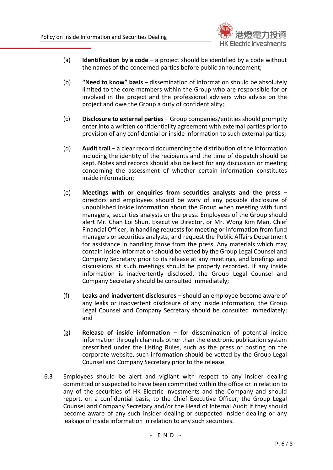

- (a) **Identification by a code** a project should be identified by a code without the names of the concerned parties before public announcement;
- (b) **"Need to know" basis** dissemination of information should be absolutely limited to the core members within the Group who are responsible for or involved in the project and the professional advisers who advise on the project and owe the Group a duty of confidentiality;
- (c) **Disclosure to external parties** Group companies/entities should promptly enter into a written confidentiality agreement with external parties prior to provision of any confidential or inside information to such external parties;
- (d) **Audit trail** a clear record documenting the distribution of the information including the identity of the recipients and the time of dispatch should be kept. Notes and records should also be kept for any discussion or meeting concerning the assessment of whether certain information constitutes inside information;
- (e) **Meetings with or enquiries from securities analysts and the press** directors and employees should be wary of any possible disclosure of unpublished inside information about the Group when meeting with fund managers, securities analysts or the press. Employees of the Group should alert Mr. Chan Loi Shun, Executive Director, or Mr. Wong Kim Man, Chief Financial Officer, in handling requests for meeting or information from fund managers or securities analysts, and request the Public Affairs Department for assistance in handling those from the press. Any materials which may contain inside information should be vetted by the Group Legal Counsel and Company Secretary prior to its release at any meetings, and briefings and discussions at such meetings should be properly recorded. If any inside information is inadvertently disclosed, the Group Legal Counsel and Company Secretary should be consulted immediately;
- (f) **Leaks and inadvertent disclosures** should an employee become aware of any leaks or inadvertent disclosure of any inside information, the Group Legal Counsel and Company Secretary should be consulted immediately; and
- (g) **Release of inside information** for dissemination of potential inside information through channels other than the electronic publication system prescribed under the Listing Rules, such as the press or posting on the corporate website, such information should be vetted by the Group Legal Counsel and Company Secretary prior to the release.
- 6.3 Employees should be alert and vigilant with respect to any insider dealing committed or suspected to have been committed within the office or in relation to any of the securities of HK Electric Investments and the Company and should report, on a confidential basis, to the Chief Executive Officer, the Group Legal Counsel and Company Secretary and/or the Head of Internal Audit if they should become aware of any such insider dealing or suspected insider dealing or any leakage of inside information in relation to any such securities.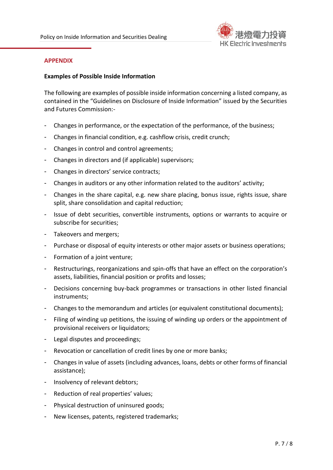

#### **APPENDIX**

#### **Examples of Possible Inside Information**

The following are examples of possible inside information concerning a listed company, as contained in the "Guidelines on Disclosure of Inside Information" issued by the Securities and Futures Commission:-

- Changes in performance, or the expectation of the performance, of the business;
- Changes in financial condition, e.g. cashflow crisis, credit crunch;
- Changes in control and control agreements;
- Changes in directors and (if applicable) supervisors;
- Changes in directors' service contracts;
- Changes in auditors or any other information related to the auditors' activity;
- Changes in the share capital, e.g. new share placing, bonus issue, rights issue, share split, share consolidation and capital reduction;
- Issue of debt securities, convertible instruments, options or warrants to acquire or subscribe for securities;
- Takeovers and mergers;
- Purchase or disposal of equity interests or other major assets or business operations;
- Formation of a joint venture;
- Restructurings, reorganizations and spin-offs that have an effect on the corporation's assets, liabilities, financial position or profits and losses;
- Decisions concerning buy-back programmes or transactions in other listed financial instruments;
- Changes to the memorandum and articles (or equivalent constitutional documents);
- Filing of winding up petitions, the issuing of winding up orders or the appointment of provisional receivers or liquidators;
- Legal disputes and proceedings;
- Revocation or cancellation of credit lines by one or more banks;
- Changes in value of assets (including advances, loans, debts or other forms of financial assistance);
- Insolvency of relevant debtors;
- Reduction of real properties' values;
- Physical destruction of uninsured goods;
- New licenses, patents, registered trademarks;